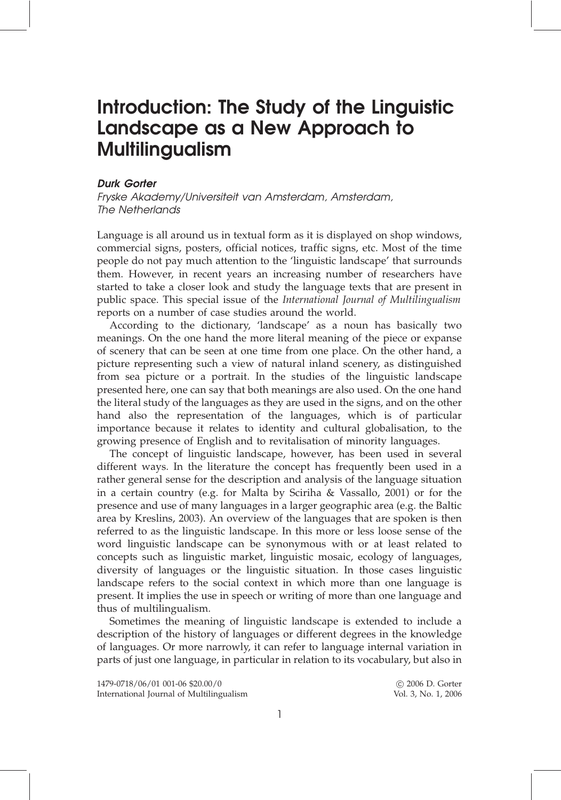# Introduction: The Study of the Linguistic Landscape as a New Approach to Multilingualism

## Durk Gorter

Fryske Akademy/Universiteit van Amsterdam, Amsterdam, The Netherlands

Language is all around us in textual form as it is displayed on shop windows, commercial signs, posters, official notices, traffic signs, etc. Most of the time people do not pay much attention to the 'linguistic landscape' that surrounds them. However, in recent years an increasing number of researchers have started to take a closer look and study the language texts that are present in public space. This special issue of the International Journal of Multilingualism reports on a number of case studies around the world.

According to the dictionary, 'landscape' as a noun has basically two meanings. On the one hand the more literal meaning of the piece or expanse of scenery that can be seen at one time from one place. On the other hand, a picture representing such a view of natural inland scenery, as distinguished from sea picture or a portrait. In the studies of the linguistic landscape presented here, one can say that both meanings are also used. On the one hand the literal study of the languages as they are used in the signs, and on the other hand also the representation of the languages, which is of particular importance because it relates to identity and cultural globalisation, to the growing presence of English and to revitalisation of minority languages.

The concept of linguistic landscape, however, has been used in several different ways. In the literature the concept has frequently been used in a rather general sense for the description and analysis of the language situation in a certain country (e.g. for Malta by Sciriha & Vassallo, 2001) or for the presence and use of many languages in a larger geographic area (e.g. the Baltic area by Kreslins, 2003). An overview of the languages that are spoken is then referred to as the linguistic landscape. In this more or less loose sense of the word linguistic landscape can be synonymous with or at least related to concepts such as linguistic market, linguistic mosaic, ecology of languages, diversity of languages or the linguistic situation. In those cases linguistic landscape refers to the social context in which more than one language is present. It implies the use in speech or writing of more than one language and thus of multilingualism.

Sometimes the meaning of linguistic landscape is extended to include a description of the history of languages or different degrees in the knowledge of languages. Or more narrowly, it can refer to language internal variation in parts of just one language, in particular in relation to its vocabulary, but also in

1479-0718/06/01 001-06 \$20.00/0 – 2006 D. Gorter International Journal of Multilingualism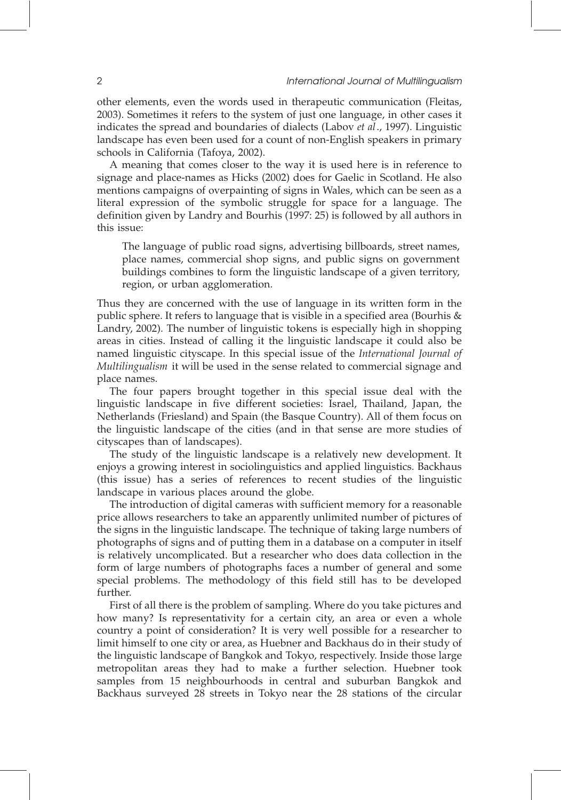other elements, even the words used in therapeutic communication (Fleitas, 2003). Sometimes it refers to the system of just one language, in other cases it indicates the spread and boundaries of dialects (Labov et al., 1997). Linguistic landscape has even been used for a count of non-English speakers in primary schools in California (Tafoya, 2002).

A meaning that comes closer to the way it is used here is in reference to signage and place-names as Hicks (2002) does for Gaelic in Scotland. He also mentions campaigns of overpainting of signs in Wales, which can be seen as a literal expression of the symbolic struggle for space for a language. The definition given by Landry and Bourhis (1997: 25) is followed by all authors in this issue:

The language of public road signs, advertising billboards, street names, place names, commercial shop signs, and public signs on government buildings combines to form the linguistic landscape of a given territory, region, or urban agglomeration.

Thus they are concerned with the use of language in its written form in the public sphere. It refers to language that is visible in a specified area (Bourhis  $\&$ Landry, 2002). The number of linguistic tokens is especially high in shopping areas in cities. Instead of calling it the linguistic landscape it could also be named linguistic cityscape. In this special issue of the International Journal of Multilingualism it will be used in the sense related to commercial signage and place names.

The four papers brought together in this special issue deal with the linguistic landscape in five different societies: Israel, Thailand, Japan, the Netherlands (Friesland) and Spain (the Basque Country). All of them focus on the linguistic landscape of the cities (and in that sense are more studies of cityscapes than of landscapes).

The study of the linguistic landscape is a relatively new development. It enjoys a growing interest in sociolinguistics and applied linguistics. Backhaus (this issue) has a series of references to recent studies of the linguistic landscape in various places around the globe.

The introduction of digital cameras with sufficient memory for a reasonable price allows researchers to take an apparently unlimited number of pictures of the signs in the linguistic landscape. The technique of taking large numbers of photographs of signs and of putting them in a database on a computer in itself is relatively uncomplicated. But a researcher who does data collection in the form of large numbers of photographs faces a number of general and some special problems. The methodology of this field still has to be developed further.

First of all there is the problem of sampling. Where do you take pictures and how many? Is representativity for a certain city, an area or even a whole country a point of consideration? It is very well possible for a researcher to limit himself to one city or area, as Huebner and Backhaus do in their study of the linguistic landscape of Bangkok and Tokyo, respectively. Inside those large metropolitan areas they had to make a further selection. Huebner took samples from 15 neighbourhoods in central and suburban Bangkok and Backhaus surveyed 28 streets in Tokyo near the 28 stations of the circular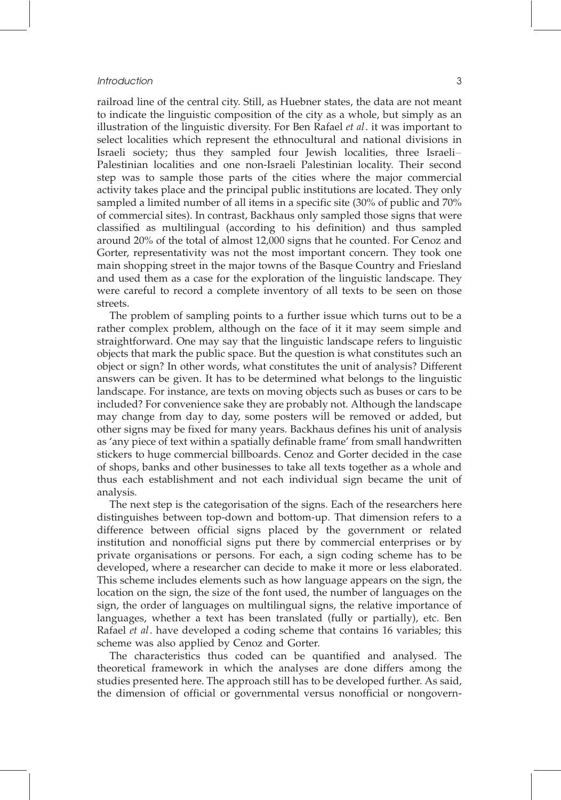## Introduction 3

railroad line of the central city. Still, as Huebner states, the data are not meant to indicate the linguistic composition of the city as a whole, but simply as an illustration of the linguistic diversity. For Ben Rafael et al. it was important to select localities which represent the ethnocultural and national divisions in Israeli society; thus they sampled four Jewish localities, three Israeli Palestinian localities and one non-Israeli Palestinian locality. Their second step was to sample those parts of the cities where the major commercial activity takes place and the principal public institutions are located. They only sampled a limited number of all items in a specific site (30% of public and 70% of commercial sites). In contrast, Backhaus only sampled those signs that were classified as multilingual (according to his definition) and thus sampled around 20% of the total of almost 12,000 signs that he counted. For Cenoz and Gorter, representativity was not the most important concern. They took one main shopping street in the major towns of the Basque Country and Friesland and used them as a case for the exploration of the linguistic landscape. They were careful to record a complete inventory of all texts to be seen on those streets.

The problem of sampling points to a further issue which turns out to be a rather complex problem, although on the face of it it may seem simple and straightforward. One may say that the linguistic landscape refers to linguistic objects that mark the public space. But the question is what constitutes such an object or sign? In other words, what constitutes the unit of analysis? Different answers can be given. It has to be determined what belongs to the linguistic landscape. For instance, are texts on moving objects such as buses or cars to be included? For convenience sake they are probably not. Although the landscape may change from day to day, some posters will be removed or added, but other signs may be fixed for many years. Backhaus defines his unit of analysis as 'any piece of text within a spatially definable frame' from small handwritten stickers to huge commercial billboards. Cenoz and Gorter decided in the case of shops, banks and other businesses to take all texts together as a whole and thus each establishment and not each individual sign became the unit of analysis.

The next step is the categorisation of the signs. Each of the researchers here distinguishes between top-down and bottom-up. That dimension refers to a difference between official signs placed by the government or related institution and nonofficial signs put there by commercial enterprises or by private organisations or persons. For each, a sign coding scheme has to be developed, where a researcher can decide to make it more or less elaborated. This scheme includes elements such as how language appears on the sign, the location on the sign, the size of the font used, the number of languages on the sign, the order of languages on multilingual signs, the relative importance of languages, whether a text has been translated (fully or partially), etc. Ben Rafael et al. have developed a coding scheme that contains 16 variables; this scheme was also applied by Cenoz and Gorter.

The characteristics thus coded can be quantified and analysed. The theoretical framework in which the analyses are done differs among the studies presented here. The approach still has to be developed further. As said, the dimension of official or governmental versus nonofficial or nongovern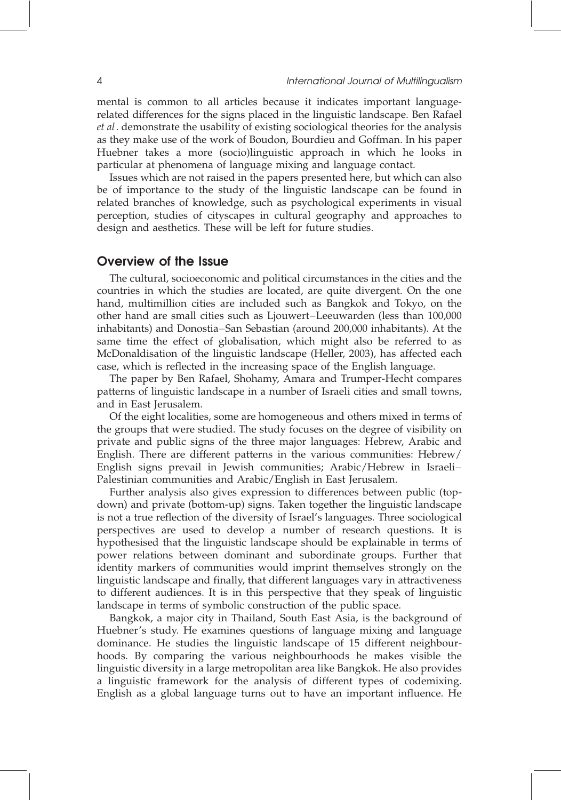mental is common to all articles because it indicates important languagerelated differences for the signs placed in the linguistic landscape. Ben Rafael et al. demonstrate the usability of existing sociological theories for the analysis as they make use of the work of Boudon, Bourdieu and Goffman. In his paper Huebner takes a more (socio)linguistic approach in which he looks in particular at phenomena of language mixing and language contact.

Issues which are not raised in the papers presented here, but which can also be of importance to the study of the linguistic landscape can be found in related branches of knowledge, such as psychological experiments in visual perception, studies of cityscapes in cultural geography and approaches to design and aesthetics. These will be left for future studies.

# Overview of the Issue

The cultural, socioeconomic and political circumstances in the cities and the countries in which the studies are located, are quite divergent. On the one hand, multimillion cities are included such as Bangkok and Tokyo, on the other hand are small cities such as Ljouwert-Leeuwarden (less than 100,000 inhabitants) and Donostia-San Sebastian (around 200,000 inhabitants). At the same time the effect of globalisation, which might also be referred to as McDonaldisation of the linguistic landscape (Heller, 2003), has affected each case, which is reflected in the increasing space of the English language.

The paper by Ben Rafael, Shohamy, Amara and Trumper-Hecht compares patterns of linguistic landscape in a number of Israeli cities and small towns, and in East Jerusalem.

Of the eight localities, some are homogeneous and others mixed in terms of the groups that were studied. The study focuses on the degree of visibility on private and public signs of the three major languages: Hebrew, Arabic and English. There are different patterns in the various communities: Hebrew/ English signs prevail in Jewish communities; Arabic/Hebrew in Israeli Palestinian communities and Arabic/English in East Jerusalem.

Further analysis also gives expression to differences between public (topdown) and private (bottom-up) signs. Taken together the linguistic landscape is not a true reflection of the diversity of Israel's languages. Three sociological perspectives are used to develop a number of research questions. It is hypothesised that the linguistic landscape should be explainable in terms of power relations between dominant and subordinate groups. Further that identity markers of communities would imprint themselves strongly on the linguistic landscape and finally, that different languages vary in attractiveness to different audiences. It is in this perspective that they speak of linguistic landscape in terms of symbolic construction of the public space.

Bangkok, a major city in Thailand, South East Asia, is the background of Huebner's study. He examines questions of language mixing and language dominance. He studies the linguistic landscape of 15 different neighbourhoods. By comparing the various neighbourhoods he makes visible the linguistic diversity in a large metropolitan area like Bangkok. He also provides a linguistic framework for the analysis of different types of codemixing. English as a global language turns out to have an important influence. He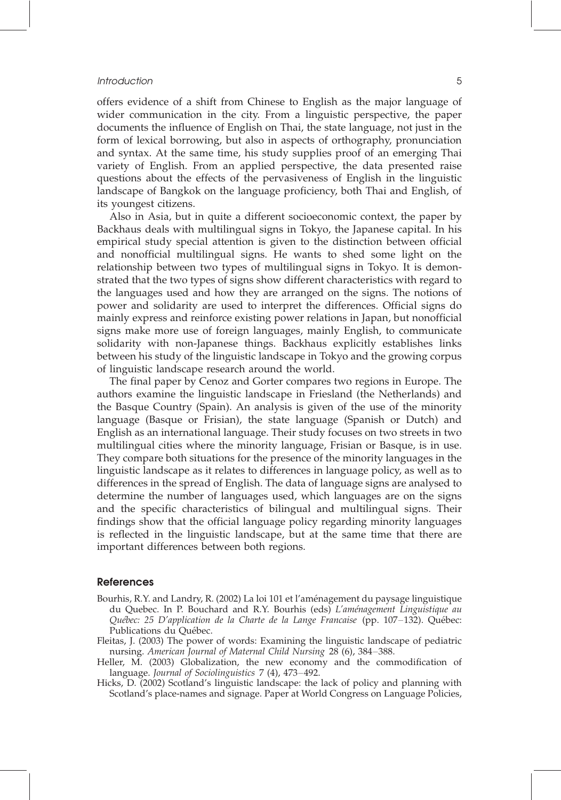## Introduction 5

offers evidence of a shift from Chinese to English as the major language of wider communication in the city. From a linguistic perspective, the paper documents the influence of English on Thai, the state language, not just in the form of lexical borrowing, but also in aspects of orthography, pronunciation and syntax. At the same time, his study supplies proof of an emerging Thai variety of English. From an applied perspective, the data presented raise questions about the effects of the pervasiveness of English in the linguistic landscape of Bangkok on the language proficiency, both Thai and English, of its youngest citizens.

Also in Asia, but in quite a different socioeconomic context, the paper by Backhaus deals with multilingual signs in Tokyo, the Japanese capital. In his empirical study special attention is given to the distinction between official and nonofficial multilingual signs. He wants to shed some light on the relationship between two types of multilingual signs in Tokyo. It is demonstrated that the two types of signs show different characteristics with regard to the languages used and how they are arranged on the signs. The notions of power and solidarity are used to interpret the differences. Official signs do mainly express and reinforce existing power relations in Japan, but nonofficial signs make more use of foreign languages, mainly English, to communicate solidarity with non-Japanese things. Backhaus explicitly establishes links between his study of the linguistic landscape in Tokyo and the growing corpus of linguistic landscape research around the world.

The final paper by Cenoz and Gorter compares two regions in Europe. The authors examine the linguistic landscape in Friesland (the Netherlands) and the Basque Country (Spain). An analysis is given of the use of the minority language (Basque or Frisian), the state language (Spanish or Dutch) and English as an international language. Their study focuses on two streets in two multilingual cities where the minority language, Frisian or Basque, is in use. They compare both situations for the presence of the minority languages in the linguistic landscape as it relates to differences in language policy, as well as to differences in the spread of English. The data of language signs are analysed to determine the number of languages used, which languages are on the signs and the specific characteristics of bilingual and multilingual signs. Their findings show that the official language policy regarding minority languages is reflected in the linguistic landscape, but at the same time that there are important differences between both regions.

### References

- Bourhis, R.Y. and Landry, R. (2002) La loi 101 et l'aménagement du paysage linguistique du Quebec. In P. Bouchard and R.Y. Bourhis (eds) L'aménagement Linguistique au Québec: 25 D'application de la Charte de la Lange Francaise (pp. 107-132). Québec: Publications du Québec.
- Fleitas, J. (2003) The power of words: Examining the linguistic landscape of pediatric nursing. American Journal of Maternal Child Nursing 28 (6), 384-388.
- Heller, M. (2003) Globalization, the new economy and the commodification of language. Journal of Sociolinguistics 7 (4), 473-492.
- Hicks, D. (2002) Scotland's linguistic landscape: the lack of policy and planning with Scotland's place-names and signage. Paper at World Congress on Language Policies,